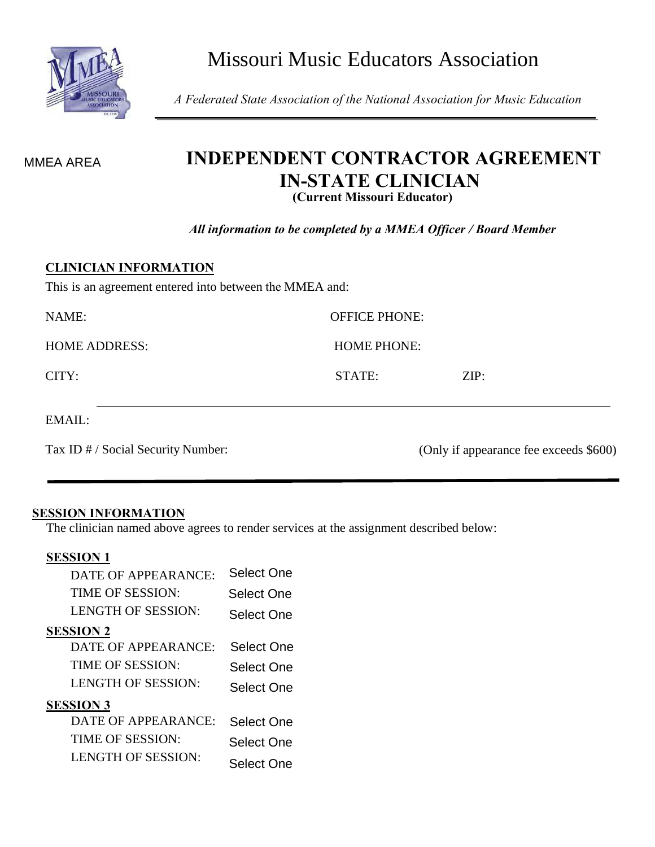

Missouri Music Educators Association

*A Federated State Association of the National Association for Music Education*

## **INDEPENDENT CONTRACTOR AGREEMENT IN-STATE CLINICIAN (Current Missouri Educator)**

*All information to be completed by a MMEA Officer / Board Member*

OFFICE PHONE:

HOME PHONE:

STATE: ZIP:

#### **CLINICIAN INFORMATION**

This is an agreement entered into between the MMEA and:

Tax ID # / Social Security Number: (Only if appearance fee exceeds \$600)

#### **SESSION INFORMATION**

The clinician named above agrees to render services at the assignment described below:

#### **SESSION 1**

| MMEA AREA                                         | INDEFENDE.<br>IN<br>( |
|---------------------------------------------------|-----------------------|
|                                                   | All information to be |
| <b>CLINICIAN INFORMATION</b>                      |                       |
| This is an agreement entered into between the MN  |                       |
| <b>NAME:</b>                                      |                       |
| <b>HOME ADDRESS:</b>                              |                       |
| CITY:                                             |                       |
| EMAIL:                                            |                       |
| Tax ID # / Social Security Number:                |                       |
|                                                   |                       |
| <b>SESSION INFORMATION</b>                        |                       |
| The clinician named above agrees to render servic |                       |
| <b>SESSION 1</b>                                  |                       |
| DATE OF APPEARANCE:                               | <b>Select One</b>     |
| TIME OF SESSION:                                  | <b>Select One</b>     |
| <b>LENGTH OF SESSION:</b>                         | <b>Select One</b>     |
| <b>SESSION 2</b>                                  |                       |
| DATE OF APPEARANCE:                               | <b>Select One</b>     |
| TIME OF SESSION:                                  | Select One            |
| <b>LENGTH OF SESSION:</b>                         | Select One            |
| <b>SESSION 3</b>                                  |                       |
| DATE OF APPEARANCE:                               | <b>Select One</b>     |
| TIME OF SESSION:                                  | <b>Select One</b>     |
| <b>LENGTH OF SESSION:</b>                         | <b>Select One</b>     |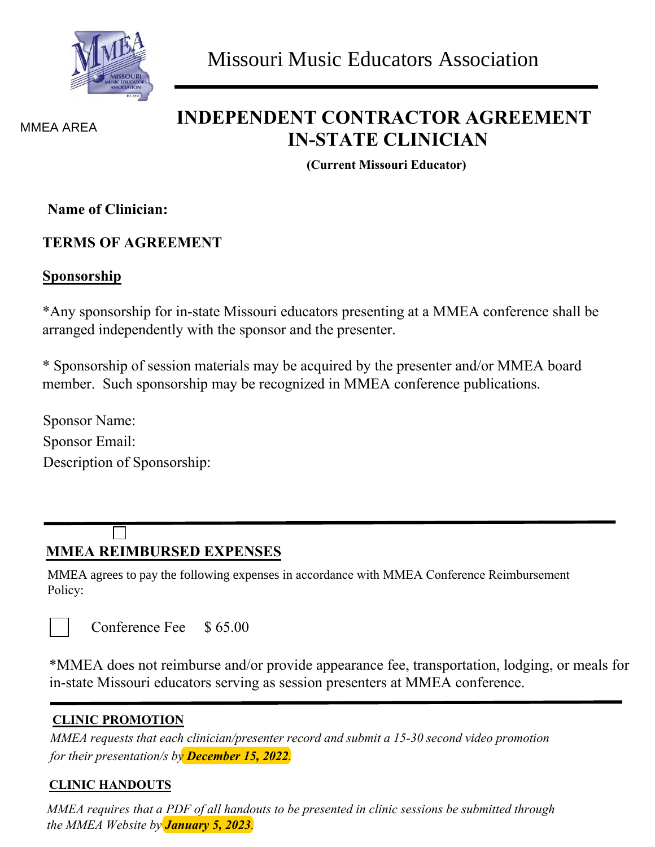

MMEA AREA

## **INDEPENDENT CONTRACTOR AGREEMENT IN-STATE CLINICIAN**

**(Current Missouri Educator)**

**Name of Clinician:** 

## **TERMS OF AGREEMENT**

### **Sponsorship**

\*Any sponsorship for in-state Missouri educators presenting at a MMEA conference shall be arranged independently with the sponsor and the presenter.

\* Sponsorship of session materials may be acquired by the presenter and/or MMEA board member. Such sponsorship may be recognized in MMEA conference publications.

Sponsor Name: Sponsor Email: Description of Sponsorship:

## **MMEA REIMBURSED EXPENSES**

MMEA agrees to pay the following expenses in accordance with MMEA Conference Reimbursement Policy:

Conference Fee \$ 65.00

\*MMEA does not reimburse and/or provide appearance fee, transportation, lodging, or meals for in-state Missouri educators serving as session presenters at MMEA conference.

### **CLINIC PROMOTION**

*MMEA requests that each clinician/presenter record and submit a 15-30 second video promotion for their presentation/s by December 15, 2022.*

### **CLINIC HANDOUTS**

*MMEA requires that a PDF of all handouts to be presented in clinic sessions be submitted through the MMEA Website by January 5, 2023.*